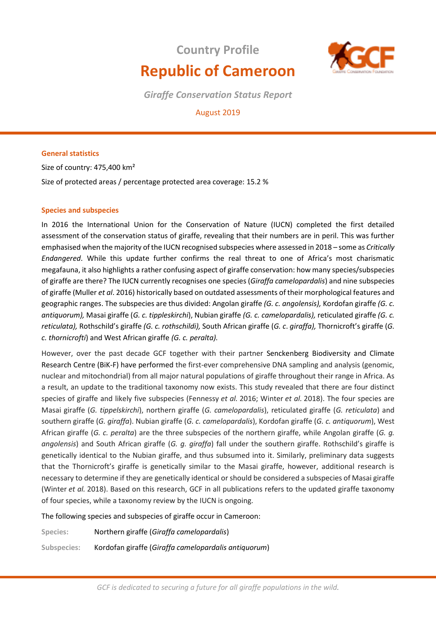# **Country Profile Republic of Cameroon**



*Giraffe Conservation Status Report* 

# August 2019

# **General statistics**

Size of country: 475,400 km² Size of protected areas / percentage protected area coverage: 15.2 %

# **Species and subspecies**

In 2016 the International Union for the Conservation of Nature (IUCN) completed the first detailed assessment of the conservation status of giraffe, revealing that their numbers are in peril. This was further emphasised when the majority of the IUCN recognised subspecies where assessed in 2018 – some as *Critically Endangered*. While this update further confirms the real threat to one of Africa's most charismatic megafauna, it also highlights a rather confusing aspect of giraffe conservation: how many species/subspecies of giraffe are there? The IUCN currently recognises one species (*Giraffa camelopardalis*) and nine subspecies of giraffe (Muller *et al*. 2016) historically based on outdated assessments of their morphological features and geographic ranges. The subspecies are thus divided: Angolan giraffe *(G. c. angolensis),* Kordofan giraffe *(G. c. antiquorum),* Masai giraffe (*G. c. tippleskirchi*), Nubian giraffe *(G. c. camelopardalis),* reticulated giraffe *(G. c. reticulata),* Rothschild's giraffe *(G. c. rothschildi),* South African giraffe (*G. c*. *giraffa),* Thornicroft's giraffe (*G. c. thornicrofti*) and West African giraffe *(G. c. peralta).* 

However, over the past decade GCF together with their partner Senckenberg Biodiversity and Climate Research Centre (BiK-F) have performed the first-ever comprehensive DNA sampling and analysis (genomic, nuclear and mitochondrial) from all major natural populations of giraffe throughout their range in Africa. As a result, an update to the traditional taxonomy now exists. This study revealed that there are four distinct species of giraffe and likely five subspecies (Fennessy *et al.* 2016; Winter *et al.* 2018). The four species are Masai giraffe (*G. tippelskirchi*), northern giraffe (*G. camelopardalis*), reticulated giraffe (*G. reticulata*) and southern giraffe (*G. giraffa*). Nubian giraffe (*G. c. camelopardalis*), Kordofan giraffe (*G. c. antiquorum*), West African giraffe (*G. c. peralta*) are the three subspecies of the northern giraffe, while Angolan giraffe (*G. g. angolensis*) and South African giraffe (*G. g. giraffa*) fall under the southern giraffe. Rothschild's giraffe is genetically identical to the Nubian giraffe, and thus subsumed into it. Similarly, preliminary data suggests that the Thornicroft's giraffe is genetically similar to the Masai giraffe, however, additional research is necessary to determine if they are genetically identical or should be considered a subspecies of Masai giraffe (Winter *et al.* 2018). Based on this research, GCF in all publications refers to the updated giraffe taxonomy of four species, while a taxonomy review by the IUCN is ongoing.

The following species and subspecies of giraffe occur in Cameroon:

**Species:** Northern giraffe (*Giraffa camelopardalis*)

**Subspecies:** Kordofan giraffe (*Giraffa camelopardalis antiquorum*)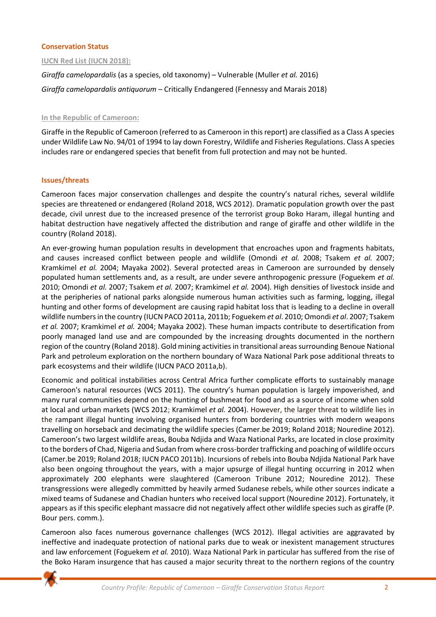# **Conservation Status**

# **IUCN Red List (IUCN 2018):**

*Giraffa camelopardalis* (as a species, old taxonomy) – Vulnerable (Muller *et al.* 2016) *Giraffa camelopardalis antiquorum* – Critically Endangered (Fennessy and Marais 2018)

# **In the Republic of Cameroon:**

Giraffe in the Republic of Cameroon (referred to as Cameroon in this report) are classified as a Class A species under Wildlife Law No. 94/01 of 1994 to lay down Forestry, Wildlife and Fisheries Regulations. Class A species includes rare or endangered species that benefit from full protection and may not be hunted.

# **Issues/threats**

Cameroon faces major conservation challenges and despite the country's natural riches, several wildlife species are threatened or endangered (Roland 2018, WCS 2012). Dramatic population growth over the past decade, civil unrest due to the increased presence of the terrorist group Boko Haram, illegal hunting and habitat destruction have negatively affected the distribution and range of giraffe and other wildlife in the country (Roland 2018).

An ever-growing human population results in development that encroaches upon and fragments habitats, and causes increased conflict between people and wildlife (Omondi *et al.* 2008; Tsakem *et al.* 2007; Kramkimel *et al.* 2004; Mayaka 2002). Several protected areas in Cameroon are surrounded by densely populated human settlements and, as a result, are under severe anthropogenic pressure (Foguekem *et al.* 2010; Omondi *et al.* 2007; Tsakem *et al.* 2007; Kramkimel *et al.* 2004). High densities of livestock inside and at the peripheries of national parks alongside numerous human activities such as farming, logging, illegal hunting and other forms of development are causing rapid habitat loss that is leading to a decline in overall wildlife numbers in the country (IUCN PACO 2011a, 2011b; Foguekem *et al*. 2010; Omondi *et al*. 2007; Tsakem *et al.* 2007; Kramkimel *et al.* 2004; Mayaka 2002). These human impacts contribute to desertification from poorly managed land use and are compounded by the increasing droughts documented in the northern region of the country (Roland 2018). Gold mining activities in transitional areas surrounding Benoue National Park and petroleum exploration on the northern boundary of Waza National Park pose additional threats to park ecosystems and their wildlife (IUCN PACO 2011a,b).

Economic and political instabilities across Central Africa further complicate efforts to sustainably manage Cameroon's natural resources (WCS 2011). The country's human population is largely impoverished, and many rural communities depend on the hunting of bushmeat for food and as a source of income when sold at local and urban markets (WCS 2012; Kramkimel *et al.* 2004). However, the larger threat to wildlife lies in the rampant illegal hunting involving organised hunters from bordering countries with modern weapons travelling on horseback and decimating the wildlife species (Camer.be 2019; Roland 2018; Nouredine 2012). Cameroon's two largest wildlife areas, Bouba Ndjida and Waza National Parks, are located in close proximity to the borders of Chad, Nigeria and Sudan from where cross-border trafficking and poaching of wildlife occurs (Camer.be 2019; Roland 2018; IUCN PACO 2011b). Incursions of rebels into Bouba Ndjida National Park have also been ongoing throughout the years, with a major upsurge of illegal hunting occurring in 2012 when approximately 200 elephants were slaughtered (Cameroon Tribune 2012; Nouredine 2012). These transgressions were allegedly committed by heavily armed Sudanese rebels, while other sources indicate a mixed teams of Sudanese and Chadian hunters who received local support (Nouredine 2012). Fortunately, it appears as if this specific elephant massacre did not negatively affect other wildlife species such as giraffe (P. Bour pers. comm.).

Cameroon also faces numerous governance challenges (WCS 2012). Illegal activities are aggravated by ineffective and inadequate protection of national parks due to weak or inexistent management structures and law enforcement (Foguekem *et al.* 2010). Waza National Park in particular has suffered from the rise of the Boko Haram insurgence that has caused a major security threat to the northern regions of the country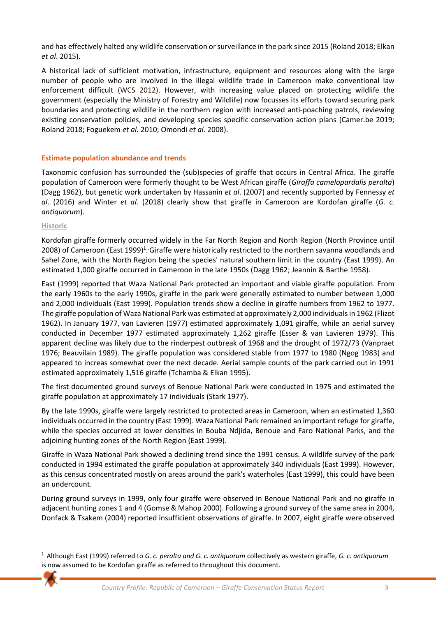and has effectively halted any wildlife conservation or surveillance in the park since 2015 (Roland 2018; Elkan *et al*. 2015).

A historical lack of sufficient motivation, infrastructure, equipment and resources along with the large number of people who are involved in the illegal wildlife trade in Cameroon make conventional law enforcement difficult (WCS 2012). However, with increasing value placed on protecting wildlife the government (especially the Ministry of Forestry and Wildlife) now focusses its efforts toward securing park boundaries and protecting wildlife in the northern region with increased anti-poaching patrols, reviewing existing conservation policies, and developing species specific conservation action plans (Camer.be 2019; Roland 2018; Foguekem *et al.* 2010; Omondi *et al.* 2008).

# **Estimate population abundance and trends**

Taxonomic confusion has surrounded the (sub)species of giraffe that occurs in Central Africa. The giraffe population of Cameroon were formerly thought to be West African giraffe (*Giraffa camelopardalis peralta*) (Dagg 1962), but genetic work undertaken by Hassanin *et al*. (2007) and recently supported by Fennessy *et al*. (2016) and Winter *et al.* (2018) clearly show that giraffe in Cameroon are Kordofan giraffe (*G. c. antiquorum*).

# **Historic**

Kordofan giraffe formerly occurred widely in the Far North Region and North Region (North Province until 2008) of Cameroon (East 1999)<sup>1</sup>. Giraffe were historically restricted to the northern savanna woodlands and Sahel Zone, with the North Region being the species' natural southern limit in the country (East 1999). An estimated 1,000 giraffe occurred in Cameroon in the late 1950s (Dagg 1962; Jeannin & Barthe 1958).

East (1999) reported that Waza National Park protected an important and viable giraffe population. From the early 1960s to the early 1990s, giraffe in the park were generally estimated to number between 1,000 and 2,000 individuals (East 1999). Population trends show a decline in giraffe numbers from 1962 to 1977. The giraffe population of Waza National Park was estimated at approximately 2,000 individuals in 1962 (Flizot 1962). In January 1977, van Lavieren (1977) estimated approximately 1,091 giraffe, while an aerial survey conducted in December 1977 estimated approximately 1,262 giraffe (Esser & van Lavieren 1979). This apparent decline was likely due to the rinderpest outbreak of 1968 and the drought of 1972/73 (Vanpraet 1976; Beauvilain 1989). The giraffe population was considered stable from 1977 to 1980 (Ngog 1983) and appeared to increas somewhat over the next decade. Aerial sample counts of the park carried out in 1991 estimated approximately 1,516 giraffe (Tchamba & Elkan 1995).

The first documented ground surveys of Benoue National Park were conducted in 1975 and estimated the giraffe population at approximately 17 individuals (Stark 1977).

By the late 1990s, giraffe were largely restricted to protected areas in Cameroon, when an estimated 1,360 individuals occurred in the country (East 1999). Waza National Park remained an important refuge for giraffe, while the species occurred at lower densities in Bouba Ndjida, Benoue and Faro National Parks, and the adjoining hunting zones of the North Region (East 1999).

Giraffe in Waza National Park showed a declining trend since the 1991 census. A wildlife survey of the park conducted in 1994 estimated the giraffe population at approximately 340 individuals (East 1999). However, as this census concentrated mostly on areas around the park's waterholes (East 1999), this could have been an undercount.

During ground surveys in 1999, only four giraffe were observed in Benoue National Park and no giraffe in adjacent hunting zones 1 and 4 (Gomse & Mahop 2000). Following a ground survey of the same area in 2004, Donfack & Tsakem (2004) reported insufficient observations of giraffe. In 2007, eight giraffe were observed

<sup>1</sup> Although East (1999) referred to *G. c. peralta and G. c. antiquorum* collectively as western giraffe, *G. c. antiquorum* is now assumed to be Kordofan giraffe as referred to throughout this document.

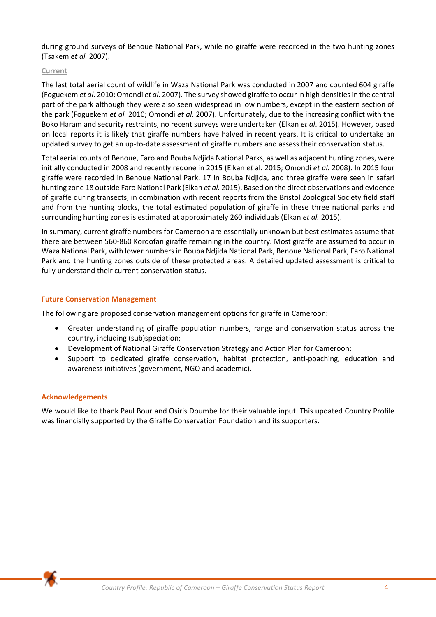during ground surveys of Benoue National Park, while no giraffe were recorded in the two hunting zones (Tsakem *et al.* 2007).

# **Current**

The last total aerial count of wildlife in Waza National Park was conducted in 2007 and counted 604 giraffe (Foguekem *et al.* 2010; Omondi *et al.* 2007). The survey showed giraffe to occur in high densities in the central part of the park although they were also seen widespread in low numbers, except in the eastern section of the park (Foguekem *et al.* 2010; Omondi *et al.* 2007). Unfortunately, due to the increasing conflict with the Boko Haram and security restraints, no recent surveys were undertaken (Elkan *et al*. 2015). However, based on local reports it is likely that giraffe numbers have halved in recent years. It is critical to undertake an updated survey to get an up-to-date assessment of giraffe numbers and assess their conservation status.

Total aerial counts of Benoue, Faro and Bouba Ndjida National Parks, as well as adjacent hunting zones, were initially conducted in 2008 and recently redone in 2015 (Elkan *et* al. 2015; Omondi *et al.* 2008). In 2015 four giraffe were recorded in Benoue National Park, 17 in Bouba Ndjida, and three giraffe were seen in safari hunting zone 18 outside Faro National Park (Elkan *et al.* 2015). Based on the direct observations and evidence of giraffe during transects, in combination with recent reports from the Bristol Zoological Society field staff and from the hunting blocks, the total estimated population of giraffe in these three national parks and surrounding hunting zones is estimated at approximately 260 individuals (Elkan *et al.* 2015).

In summary, current giraffe numbers for Cameroon are essentially unknown but best estimates assume that there are between 560-860 Kordofan giraffe remaining in the country. Most giraffe are assumed to occur in Waza National Park, with lower numbers in Bouba Ndjida National Park, Benoue National Park, Faro National Park and the hunting zones outside of these protected areas. A detailed updated assessment is critical to fully understand their current conservation status.

#### **Future Conservation Management**

The following are proposed conservation management options for giraffe in Cameroon:

- Greater understanding of giraffe population numbers, range and conservation status across the country, including (sub)speciation;
- Development of National Giraffe Conservation Strategy and Action Plan for Cameroon;
- Support to dedicated giraffe conservation, habitat protection, anti-poaching, education and awareness initiatives (government, NGO and academic).

#### **Acknowledgements**

We would like to thank Paul Bour and Osiris Doumbe for their valuable input. This updated Country Profile was financially supported by the Giraffe Conservation Foundation and its supporters.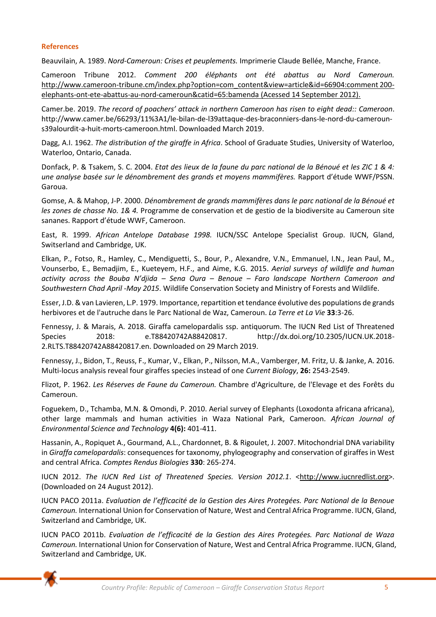# **References**

Beauvilain, A. 1989. *Nord-Cameroun: Crises et peuplements.* Imprimerie Claude Bellée, Manche, France.

Cameroon Tribune 2012. *Comment 200 éléphants ont été abattus au Nord Cameroun.* [http://www.cameroon-tribune.cm/index.php?option=com\\_content&view=article&id=66904:comment 200](http://www.cameroon-tribune.cm/index.php?option=com_content&view=article&id=66904:comment%20200-elephants-ont-ete-abattus-au-nord-cameroun&catid=65:bamenda) [elephants-ont-ete-abattus-au-nord-cameroun&catid=65:bamenda \(](http://www.cameroon-tribune.cm/index.php?option=com_content&view=article&id=66904:comment%20200-elephants-ont-ete-abattus-au-nord-cameroun&catid=65:bamenda)Acessed 14 September 2012).

Camer.be. 2019. *The record of poachers' attack in northern Cameroon has risen to eight dead:: Cameroon*. [http://www.camer.be/66293/11%3A1/le-bilan-de-l39attaque-des-braconniers-dans-le-nord-du-cameroun](http://www.camer.be/66293/11%3A1/le-bilan-de-l39attaque-des-braconniers-dans-le-nord-du-cameroun-s39alourdit-a-huit-morts-cameroon.html.%20Downloaded%20March%202019)[s39alourdit-a-huit-morts-cameroon.html. Downloaded March 2019.](http://www.camer.be/66293/11%3A1/le-bilan-de-l39attaque-des-braconniers-dans-le-nord-du-cameroun-s39alourdit-a-huit-morts-cameroon.html.%20Downloaded%20March%202019)

Dagg, A.I. 1962. *The distribution of the giraffe in Africa*. School of Graduate Studies, University of Waterloo, Waterloo, Ontario, Canada.

Donfack, P. & Tsakem, S. C. 2004. *Etat des lieux de la faune du parc national de la Bénoué et les ZIC 1 & 4: une analyse basée sur le dénombrement des grands et moyens mammifères.* Rapport d'étude WWF/PSSN. Garoua.

Gomse, A. & Mahop, J-P. 2000. *Dénombrement de grands mammifères dans le parc national de la Bénoué et les zones de chasse No. 1& 4.* Programme de conservation et de gestio de la biodiversite au Cameroun site sananes. Rapport d'étude WWF, Cameroon.

East, R. 1999. *African Antelope Database 1998.* IUCN/SSC Antelope Specialist Group. IUCN, Gland, Switserland and Cambridge, UK.

Elkan, P., Fotso, R., Hamley, C., Mendiguetti, S., Bour, P., Alexandre, V.N., Emmanuel, I.N., Jean Paul, M., Vounserbo, E., Bemadjim, E., Kueteyem, H.F., and Aime, K.G. 2015. *Aerial surveys of wildlife and human activity across the Bouba N'djida – Sena Oura – Benoue – Faro landscape Northern Cameroon and Southwestern Chad April -May 2015*. Wildlife Conservation Society and Ministry of Forests and Wildlife.

Esser, J.D. & van Lavieren, L.P. 1979. Importance, repartition et tendance évolutive des populations de grands herbivores et de l'autruche dans le Parc National de Waz, Cameroun. *La Terre et La Vie* **33**:3-26.

Fennessy, J. & Marais, A. 2018. Giraffa camelopardalis ssp. antiquorum. The IUCN Red List of Threatened Species 2018: e.T88420742A88420817. http://dx.doi.org/10.2305/IUCN.UK.2018- 2.RLTS.T88420742A88420817.en. Downloaded on 29 March 2019.

Fennessy, J., Bidon, T., Reuss, F., Kumar, V., Elkan, P., Nilsson, M.A., Vamberger, M. Fritz, U. & Janke, A. 2016. Multi-locus analysis reveal four giraffes species instead of one *Current Biology*, **26:** 2543-2549.

Flizot, P. 1962. *Les Réserves de Faune du Cameroun.* Chambre d'Agriculture, de l'Elevage et des Forêts du Cameroun.

Foguekem, D., Tchamba, M.N. & Omondi, P. 2010. Aerial survey of Elephants (Loxodonta africana africana), other large mammals and human activities in Waza National Park, Cameroon. *African Journal of Environmental Science and Technology* **4(6):** 401-411.

Hassanin, A., Ropiquet A., Gourmand, A.L., Chardonnet, B. & Rigoulet, J. 2007. Mitochondrial DNA variability in *Giraffa camelopardalis*: consequences for taxonomy, phylogeography and conservation of giraffes in West and central Africa. *Comptes Rendus Biologies* **330**: 265-274.

IUCN 2012. The IUCN Red List of Threatened Species. Version 2012.1. [<http://www.iucnredlist.org>](http://www.iucnredlist.org/). (Downloaded on 24 August 2012).

IUCN PACO 2011a. *Evaluation de l'efficacité de la Gestion des Aires Protegées. Parc National de la Benoue Cameroun.* International Union for Conservation of Nature, West and Central Africa Programme. IUCN, Gland, Switzerland and Cambridge, UK.

IUCN PACO 2011b. *Evaluation de l'efficacité de la Gestion des Aires Protegées. Parc National de Waza Cameroun.* International Union for Conservation of Nature, West and Central Africa Programme. IUCN, Gland, Switzerland and Cambridge, UK.

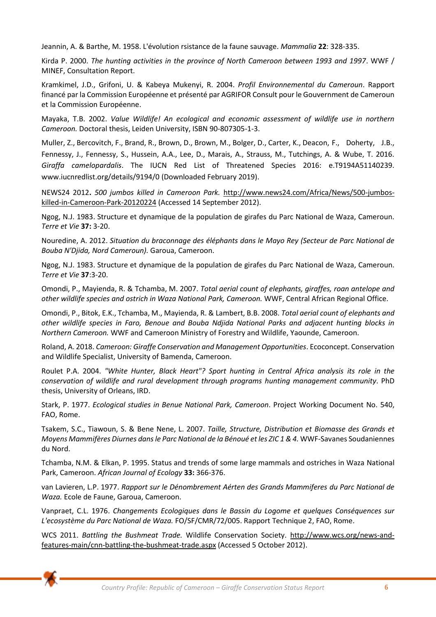Jeannin, A. & Barthe, M. 1958. L'évolution rsistance de la faune sauvage. *Mammalia* **22**: 328-335.

Kirda P. 2000. *The hunting activities in the province of North Cameroon between 1993 and 1997*. WWF / MINEF, Consultation Report.

Kramkimel, J.D., Grifoni, U. & Kabeya Mukenyi, R. 2004. *Profil Environnemental du Cameroun*. Rapport financé par la Commission Européenne et présenté par AGRIFOR Consult pour le Gouvernment de Cameroun et la Commission Européenne.

Mayaka, T.B. 2002. *Value Wildlife! An ecological and economic assessment of wildlife use in northern Cameroon.* Doctoral thesis, Leiden University, ISBN 90-807305-1-3.

Muller, Z., Bercovitch, F., Brand, R., Brown, D., Brown, M., Bolger, D., Carter, K., Deacon, F., Doherty, J.B., Fennessy, J., Fennessy, S., Hussein, A.A., Lee, D., Marais, A., Strauss, M., Tutchings, A. & Wube, T. 2016. *Giraffa camelopardalis*. The IUCN Red List of Threatened Species 2016: e.T9194A51140239. www.iucnredlist.org/details/9194/0 (Downloaded February 2019).

NEWS24 2012**.** *500 jumbos killed in Cameroon Park.* [http://www.news24.com/Africa/News/500-jumbos](http://www.news24.com/Africa/News/500-jumbos-killed-in-Cameroon-Park-20120224)[killed-in-Cameroon-Park-20120224 \(](http://www.news24.com/Africa/News/500-jumbos-killed-in-Cameroon-Park-20120224)Accessed 14 September 2012).

Ngog, N.J. 1983. Structure et dynamique de la population de girafes du Parc National de Waza, Cameroun. *Terre et Vie* **37:** 3-20.

Nouredine, A. 2012. *Situation du braconnage des éléphants dans le Mayo Rey (Secteur de Parc National de Bouba N'Djida, Nord Cameroun).* Garoua, Cameroon.

Ngog, N.J. 1983. Structure et dynamique de la population de girafes du Parc National de Waza, Cameroun. *Terre et Vie* **37**:3-20.

Omondi, P., Mayienda, R. & Tchamba, M. 2007. *Total aerial count of elephants, giraffes, roan antelope and other wildlife species and ostrich in Waza National Park, Cameroon.* WWF, Central African Regional Office.

Omondi, P., Bitok, E.K., Tchamba, M., Mayienda, R. & Lambert, B.B. 2008. *Total aerial count of elephants and other wildlife species in Faro, Benoue and Bouba Ndjida National Parks and adjacent hunting blocks in Northern Cameroon.* WWF and Cameroon Ministry of Forestry and Wildlife, Yaounde, Cameroon.

Roland, A. 2018. *Cameroon: Giraffe Conservation and Management Opportunities*. Ecoconcept. Conservation and Wildlife Specialist, University of Bamenda, Cameroon.

Roulet P.A. 2004. *"White Hunter, Black Heart"? Sport hunting in Central Africa analysis its role in the conservation of wildlife and rural development through programs hunting management community*. PhD thesis, University of Orleans, IRD.

Stark, P. 1977. *Ecological studies in Benue National Park, Cameroon*. Project Working Document No. 540, FAO, Rome.

Tsakem, S.C., Tiawoun, S. & Bene Nene, L. 2007. *Taille, Structure, Distribution et Biomasse des Grands et Moyens Mammifères Diurnes dans le Parc National de la Bénoué et les ZIC 1 & 4.* WWF-Savanes Soudaniennes du Nord.

Tchamba, N.M. & Elkan, P. 1995. Status and trends of some large mammals and ostriches in Waza National Park, Cameroon. *African Journal of Ecology* **33:** 366-376.

van Lavieren, L.P. 1977. *Rapport sur le Dénombrement Aérten des Grands Mammiferes du Parc National de Waza.* Ecole de Faune, Garoua, Cameroon.

Vanpraet, C.L. 1976. *Changements Ecologiques dans le Bassin du Logome et quelques Conséquences sur L'ecosystème du Parc National de Waza.* FO/SF/CMR/72/005. Rapport Technique 2, FAO, Rome.

WCS 2011. *[Battling the Bushmeat Trade.](http://www.wcs.org/news-and-features-main/cnn-battling-the-bushmeat-trade.aspx)* Wildlife Conservation Society. [http://www.wcs.org/news-and](http://www.wcs.org/news-and-features-main/cnn-battling-the-bushmeat-trade.aspx)[features-main/cnn-battling-the-bushmeat-trade.aspx](http://www.wcs.org/news-and-features-main/cnn-battling-the-bushmeat-trade.aspx) (Accessed 5 October 2012).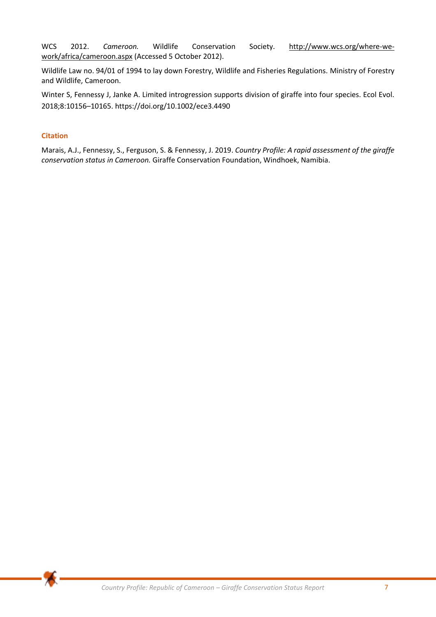WCS 2012. *Cameroon.* Wildlife Conservation Society. [http://www.wcs.org/where-we](http://www.wcs.org/where-we-work/africa/cameroon.aspx)[work/africa/cameroon.aspx](http://www.wcs.org/where-we-work/africa/cameroon.aspx) (Accessed 5 October 2012).

Wildlife Law no. 94/01 of 1994 to lay down Forestry, Wildlife and Fisheries Regulations. Ministry of Forestry and Wildlife, Cameroon.

Winter S, Fennessy J, Janke A. Limited introgression supports division of giraffe into four species. Ecol Evol. 2018;8:10156–10165. https://doi.org/10.1002/ece3.4490

# **Citation**

Marais, A.J., Fennessy, S., Ferguson, S. & Fennessy, J. 2019. *Country Profile: A rapid assessment of the giraffe conservation status in Cameroon.* Giraffe Conservation Foundation, Windhoek, Namibia.